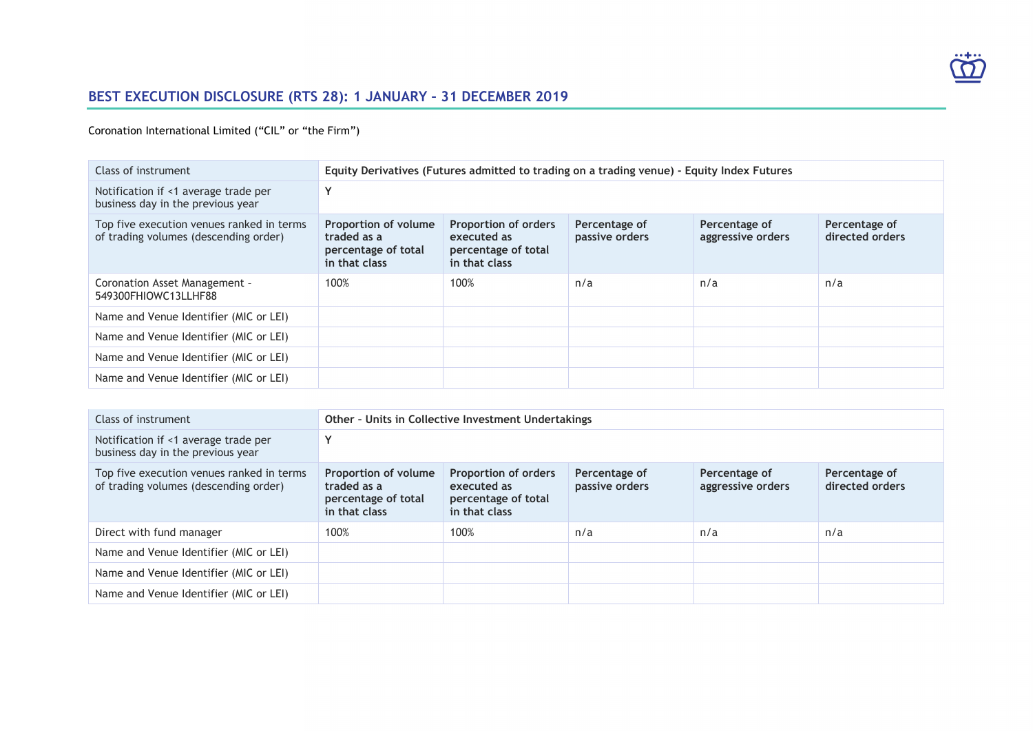

# **BEST EXECUTION DISCLOSURE (RTS 28): 1 JANUARY – 31 DECEMBER 2019**

### Coronation International Limited ("CIL" or "the Firm")

| Class of instrument                                                                | Equity Derivatives (Futures admitted to trading on a trading venue) - Equity Index Futures |                                                                                    |                                 |                                    |                                  |
|------------------------------------------------------------------------------------|--------------------------------------------------------------------------------------------|------------------------------------------------------------------------------------|---------------------------------|------------------------------------|----------------------------------|
| Notification if <1 average trade per<br>business day in the previous year          |                                                                                            |                                                                                    |                                 |                                    |                                  |
| Top five execution venues ranked in terms<br>of trading volumes (descending order) | Proportion of volume<br>traded as a<br>percentage of total<br>in that class                | <b>Proportion of orders</b><br>executed as<br>percentage of total<br>in that class | Percentage of<br>passive orders | Percentage of<br>aggressive orders | Percentage of<br>directed orders |
| Coronation Asset Management -<br>549300FHIOWC13LLHF88                              | 100%                                                                                       | 100%                                                                               | n/a                             | n/a                                | n/a                              |
| Name and Venue Identifier (MIC or LEI)                                             |                                                                                            |                                                                                    |                                 |                                    |                                  |
| Name and Venue Identifier (MIC or LEI)                                             |                                                                                            |                                                                                    |                                 |                                    |                                  |
| Name and Venue Identifier (MIC or LEI)                                             |                                                                                            |                                                                                    |                                 |                                    |                                  |
| Name and Venue Identifier (MIC or LEI)                                             |                                                                                            |                                                                                    |                                 |                                    |                                  |

| Class of instrument                                                                | Other - Units in Collective Investment Undertakings                         |                                                                                    |                                 |                                    |                                  |
|------------------------------------------------------------------------------------|-----------------------------------------------------------------------------|------------------------------------------------------------------------------------|---------------------------------|------------------------------------|----------------------------------|
| Notification if <1 average trade per<br>business day in the previous year          |                                                                             |                                                                                    |                                 |                                    |                                  |
| Top five execution venues ranked in terms<br>of trading volumes (descending order) | Proportion of volume<br>traded as a<br>percentage of total<br>in that class | <b>Proportion of orders</b><br>executed as<br>percentage of total<br>in that class | Percentage of<br>passive orders | Percentage of<br>aggressive orders | Percentage of<br>directed orders |
| Direct with fund manager                                                           | 100%                                                                        | 100%                                                                               | n/a                             | n/a                                | n/a                              |
| Name and Venue Identifier (MIC or LEI)                                             |                                                                             |                                                                                    |                                 |                                    |                                  |
| Name and Venue Identifier (MIC or LEI)                                             |                                                                             |                                                                                    |                                 |                                    |                                  |
| Name and Venue Identifier (MIC or LEI)                                             |                                                                             |                                                                                    |                                 |                                    |                                  |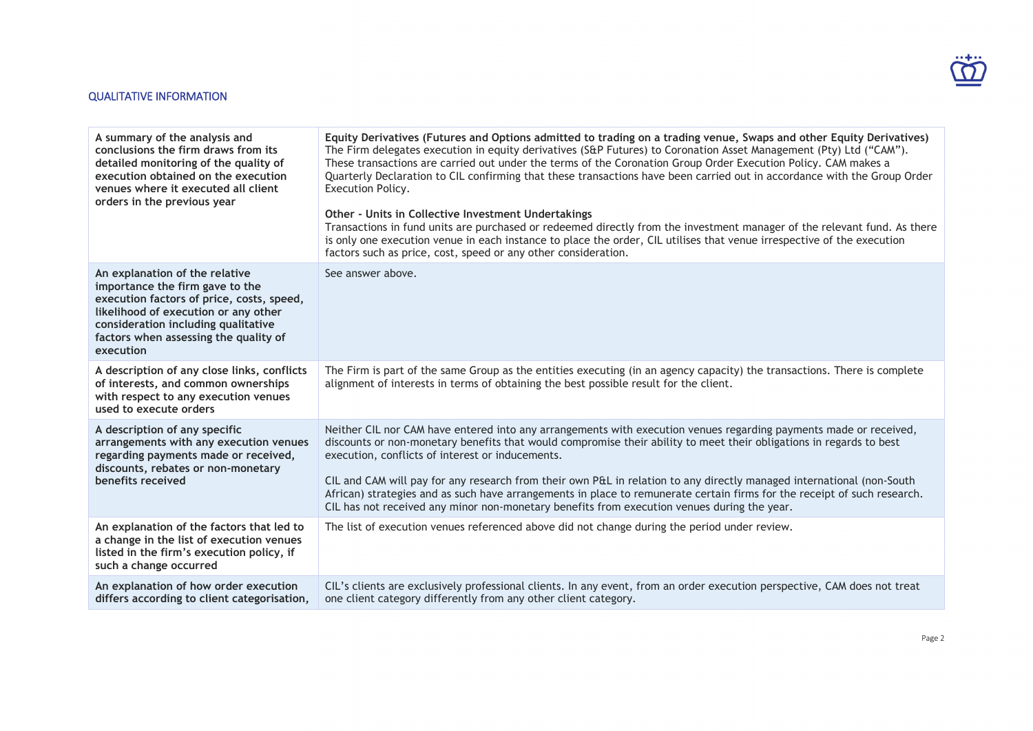### QUALITATIVE INFORMATION

| A summary of the analysis and<br>conclusions the firm draws from its<br>detailed monitoring of the quality of<br>execution obtained on the execution<br>venues where it executed all client<br>orders in the previous year                          | Equity Derivatives (Futures and Options admitted to trading on a trading venue, Swaps and other Equity Derivatives)<br>The Firm delegates execution in equity derivatives (S&P Futures) to Coronation Asset Management (Pty) Ltd ("CAM").<br>These transactions are carried out under the terms of the Coronation Group Order Execution Policy. CAM makes a<br>Quarterly Declaration to CIL confirming that these transactions have been carried out in accordance with the Group Order<br>Execution Policy.<br>Other - Units in Collective Investment Undertakings<br>Transactions in fund units are purchased or redeemed directly from the investment manager of the relevant fund. As there<br>is only one execution venue in each instance to place the order, CIL utilises that venue irrespective of the execution<br>factors such as price, cost, speed or any other consideration. |
|-----------------------------------------------------------------------------------------------------------------------------------------------------------------------------------------------------------------------------------------------------|---------------------------------------------------------------------------------------------------------------------------------------------------------------------------------------------------------------------------------------------------------------------------------------------------------------------------------------------------------------------------------------------------------------------------------------------------------------------------------------------------------------------------------------------------------------------------------------------------------------------------------------------------------------------------------------------------------------------------------------------------------------------------------------------------------------------------------------------------------------------------------------------|
| An explanation of the relative<br>importance the firm gave to the<br>execution factors of price, costs, speed,<br>likelihood of execution or any other<br>consideration including qualitative<br>factors when assessing the quality of<br>execution | See answer above.                                                                                                                                                                                                                                                                                                                                                                                                                                                                                                                                                                                                                                                                                                                                                                                                                                                                           |
| A description of any close links, conflicts<br>of interests, and common ownerships<br>with respect to any execution venues<br>used to execute orders                                                                                                | The Firm is part of the same Group as the entities executing (in an agency capacity) the transactions. There is complete<br>alignment of interests in terms of obtaining the best possible result for the client.                                                                                                                                                                                                                                                                                                                                                                                                                                                                                                                                                                                                                                                                           |
| A description of any specific<br>arrangements with any execution venues<br>regarding payments made or received,<br>discounts, rebates or non-monetary<br>benefits received                                                                          | Neither CIL nor CAM have entered into any arrangements with execution venues regarding payments made or received,<br>discounts or non-monetary benefits that would compromise their ability to meet their obligations in regards to best<br>execution, conflicts of interest or inducements.<br>CIL and CAM will pay for any research from their own P&L in relation to any directly managed international (non-South<br>African) strategies and as such have arrangements in place to remunerate certain firms for the receipt of such research.<br>CIL has not received any minor non-monetary benefits from execution venues during the year.                                                                                                                                                                                                                                            |
| An explanation of the factors that led to<br>a change in the list of execution venues<br>listed in the firm's execution policy, if<br>such a change occurred                                                                                        | The list of execution venues referenced above did not change during the period under review.                                                                                                                                                                                                                                                                                                                                                                                                                                                                                                                                                                                                                                                                                                                                                                                                |
| An explanation of how order execution<br>differs according to client categorisation,                                                                                                                                                                | CIL's clients are exclusively professional clients. In any event, from an order execution perspective, CAM does not treat<br>one client category differently from any other client category.                                                                                                                                                                                                                                                                                                                                                                                                                                                                                                                                                                                                                                                                                                |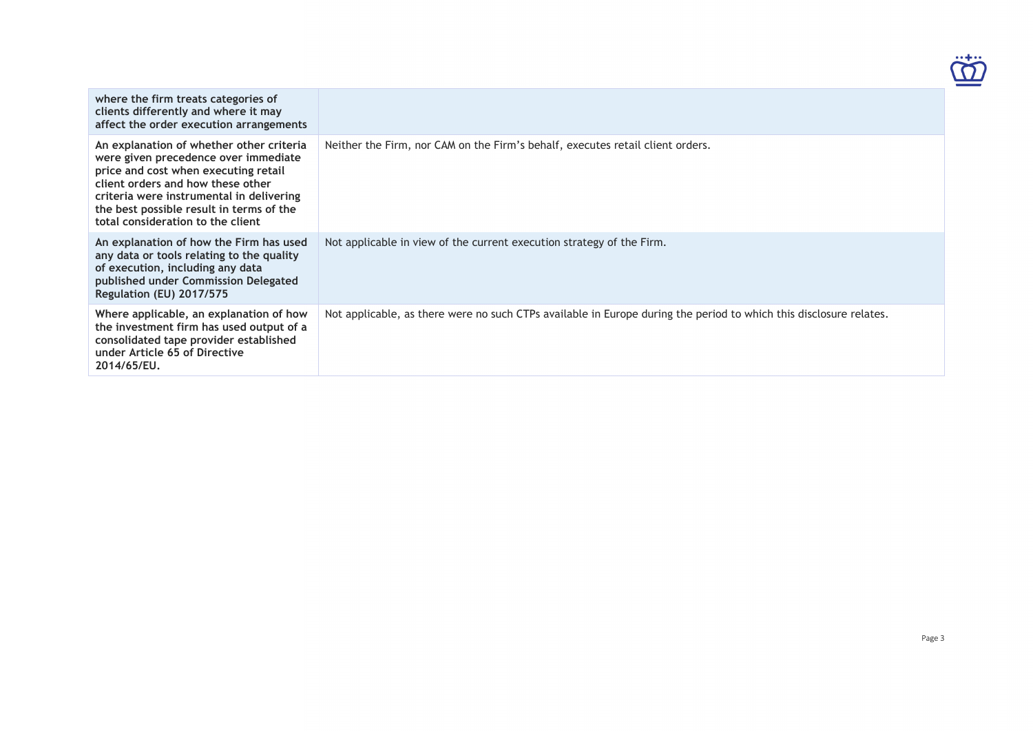

| where the firm treats categories of<br>clients differently and where it may<br>affect the order execution arrangements                                                                                                                                                                     |                                                                                                                    |
|--------------------------------------------------------------------------------------------------------------------------------------------------------------------------------------------------------------------------------------------------------------------------------------------|--------------------------------------------------------------------------------------------------------------------|
| An explanation of whether other criteria<br>were given precedence over immediate<br>price and cost when executing retail<br>client orders and how these other<br>criteria were instrumental in delivering<br>the best possible result in terms of the<br>total consideration to the client | Neither the Firm, nor CAM on the Firm's behalf, executes retail client orders.                                     |
| An explanation of how the Firm has used<br>any data or tools relating to the quality<br>of execution, including any data<br>published under Commission Delegated<br>Regulation (EU) 2017/575                                                                                               | Not applicable in view of the current execution strategy of the Firm.                                              |
| Where applicable, an explanation of how<br>the investment firm has used output of a<br>consolidated tape provider established<br>under Article 65 of Directive<br>2014/65/EU.                                                                                                              | Not applicable, as there were no such CTPs available in Europe during the period to which this disclosure relates. |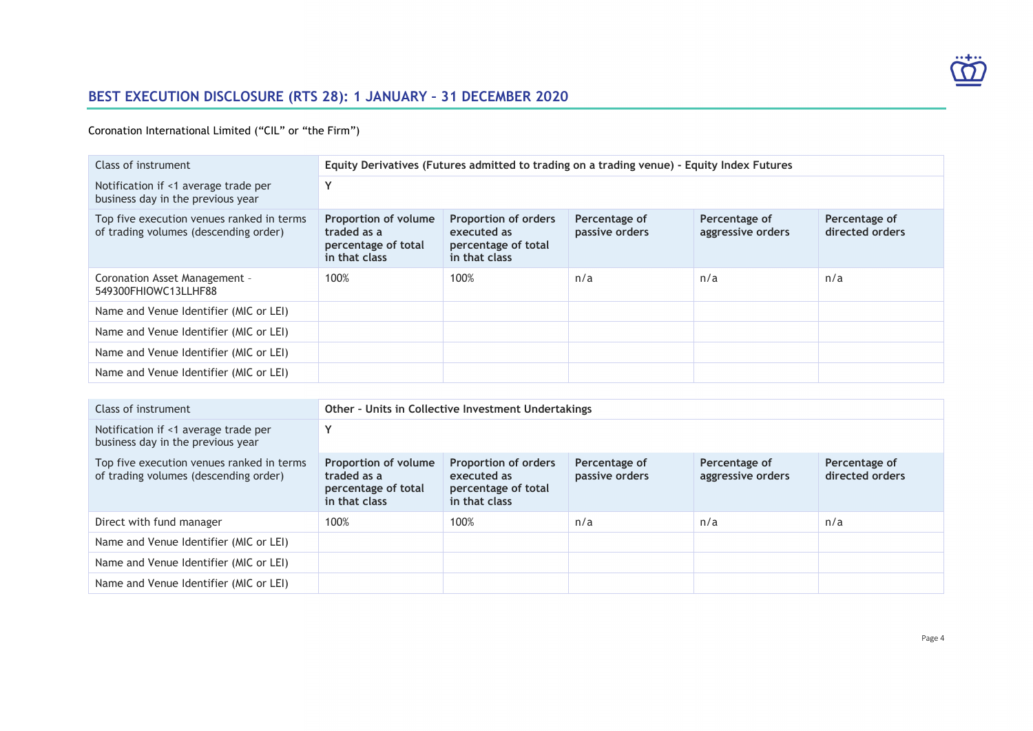

# **BEST EXECUTION DISCLOSURE (RTS 28): 1 JANUARY – 31 DECEMBER 2020**

Coronation International Limited ("CIL" or "the Firm")

| Class of instrument                                                                |                                                                                            |                                                                                    |                                 |                                    |                                  |
|------------------------------------------------------------------------------------|--------------------------------------------------------------------------------------------|------------------------------------------------------------------------------------|---------------------------------|------------------------------------|----------------------------------|
|                                                                                    | Equity Derivatives (Futures admitted to trading on a trading venue) - Equity Index Futures |                                                                                    |                                 |                                    |                                  |
| Notification if <1 average trade per<br>business day in the previous year          | Y                                                                                          |                                                                                    |                                 |                                    |                                  |
| Top five execution venues ranked in terms<br>of trading volumes (descending order) | Proportion of volume<br>traded as a<br>percentage of total<br>in that class                | <b>Proportion of orders</b><br>executed as<br>percentage of total<br>in that class | Percentage of<br>passive orders | Percentage of<br>aggressive orders | Percentage of<br>directed orders |
| Coronation Asset Management -<br>549300FHIOWC13LLHF88                              | 100%                                                                                       | 100%                                                                               | n/a                             | n/a                                | n/a                              |
| Name and Venue Identifier (MIC or LEI)                                             |                                                                                            |                                                                                    |                                 |                                    |                                  |
| Name and Venue Identifier (MIC or LEI)                                             |                                                                                            |                                                                                    |                                 |                                    |                                  |
| Name and Venue Identifier (MIC or LEI)                                             |                                                                                            |                                                                                    |                                 |                                    |                                  |
| Name and Venue Identifier (MIC or LEI)                                             |                                                                                            |                                                                                    |                                 |                                    |                                  |

| Class of instrument                                                                | Other - Units in Collective Investment Undertakings                         |                                                                                    |                                 |                                    |                                  |
|------------------------------------------------------------------------------------|-----------------------------------------------------------------------------|------------------------------------------------------------------------------------|---------------------------------|------------------------------------|----------------------------------|
| Notification if <1 average trade per<br>business day in the previous year          | Υ                                                                           |                                                                                    |                                 |                                    |                                  |
| Top five execution venues ranked in terms<br>of trading volumes (descending order) | Proportion of volume<br>traded as a<br>percentage of total<br>in that class | <b>Proportion of orders</b><br>executed as<br>percentage of total<br>in that class | Percentage of<br>passive orders | Percentage of<br>aggressive orders | Percentage of<br>directed orders |
| Direct with fund manager                                                           | 100%                                                                        | 100%                                                                               | n/a                             | n/a                                | n/a                              |
| Name and Venue Identifier (MIC or LEI)                                             |                                                                             |                                                                                    |                                 |                                    |                                  |
| Name and Venue Identifier (MIC or LEI)                                             |                                                                             |                                                                                    |                                 |                                    |                                  |
| Name and Venue Identifier (MIC or LEI)                                             |                                                                             |                                                                                    |                                 |                                    |                                  |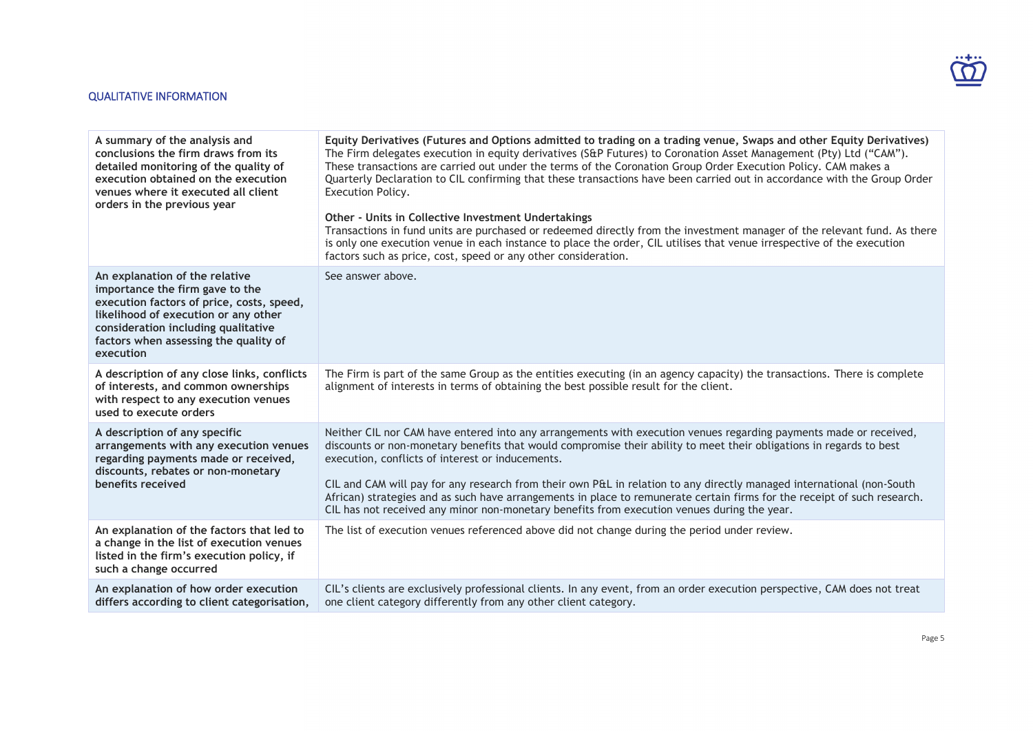### QUALITATIVE INFORMATION

| A summary of the analysis and<br>conclusions the firm draws from its<br>detailed monitoring of the quality of<br>execution obtained on the execution<br>venues where it executed all client<br>orders in the previous year                          | Equity Derivatives (Futures and Options admitted to trading on a trading venue, Swaps and other Equity Derivatives)<br>The Firm delegates execution in equity derivatives (S&P Futures) to Coronation Asset Management (Pty) Ltd ("CAM").<br>These transactions are carried out under the terms of the Coronation Group Order Execution Policy. CAM makes a<br>Quarterly Declaration to CIL confirming that these transactions have been carried out in accordance with the Group Order<br>Execution Policy.<br>Other - Units in Collective Investment Undertakings<br>Transactions in fund units are purchased or redeemed directly from the investment manager of the relevant fund. As there<br>is only one execution venue in each instance to place the order, CIL utilises that venue irrespective of the execution<br>factors such as price, cost, speed or any other consideration. |
|-----------------------------------------------------------------------------------------------------------------------------------------------------------------------------------------------------------------------------------------------------|---------------------------------------------------------------------------------------------------------------------------------------------------------------------------------------------------------------------------------------------------------------------------------------------------------------------------------------------------------------------------------------------------------------------------------------------------------------------------------------------------------------------------------------------------------------------------------------------------------------------------------------------------------------------------------------------------------------------------------------------------------------------------------------------------------------------------------------------------------------------------------------------|
| An explanation of the relative<br>importance the firm gave to the<br>execution factors of price, costs, speed,<br>likelihood of execution or any other<br>consideration including qualitative<br>factors when assessing the quality of<br>execution | See answer above.                                                                                                                                                                                                                                                                                                                                                                                                                                                                                                                                                                                                                                                                                                                                                                                                                                                                           |
| A description of any close links, conflicts<br>of interests, and common ownerships<br>with respect to any execution venues<br>used to execute orders                                                                                                | The Firm is part of the same Group as the entities executing (in an agency capacity) the transactions. There is complete<br>alignment of interests in terms of obtaining the best possible result for the client.                                                                                                                                                                                                                                                                                                                                                                                                                                                                                                                                                                                                                                                                           |
| A description of any specific<br>arrangements with any execution venues<br>regarding payments made or received,<br>discounts, rebates or non-monetary<br>benefits received                                                                          | Neither CIL nor CAM have entered into any arrangements with execution venues regarding payments made or received,<br>discounts or non-monetary benefits that would compromise their ability to meet their obligations in regards to best<br>execution, conflicts of interest or inducements.<br>CIL and CAM will pay for any research from their own P&L in relation to any directly managed international (non-South<br>African) strategies and as such have arrangements in place to remunerate certain firms for the receipt of such research.<br>CIL has not received any minor non-monetary benefits from execution venues during the year.                                                                                                                                                                                                                                            |
| An explanation of the factors that led to<br>a change in the list of execution venues<br>listed in the firm's execution policy, if<br>such a change occurred                                                                                        | The list of execution venues referenced above did not change during the period under review.                                                                                                                                                                                                                                                                                                                                                                                                                                                                                                                                                                                                                                                                                                                                                                                                |
| An explanation of how order execution<br>differs according to client categorisation,                                                                                                                                                                | CIL's clients are exclusively professional clients. In any event, from an order execution perspective, CAM does not treat<br>one client category differently from any other client category.                                                                                                                                                                                                                                                                                                                                                                                                                                                                                                                                                                                                                                                                                                |